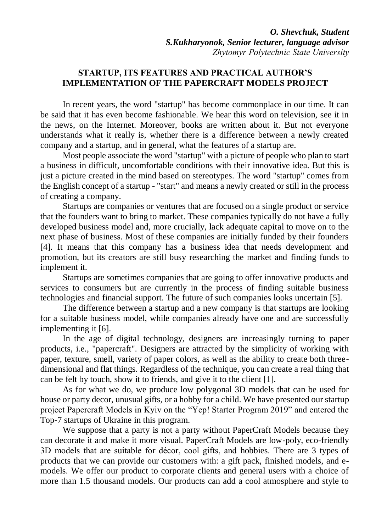## **STARTUP, ITS FEATURES AND PRACTICAL AUTHOR'S IMPLEMENTATION OF THE PAPERCRAFT MODELS PROJECT**

In recent years, the word "startup" has become commonplace in our time. It can be said that it has even become fashionable. We hear this word on television, see it in the news, on the Internet. Moreover, books are written about it. But not everyone understands what it really is, whether there is a difference between a newly created company and a startup, and in general, what the features of a startup are.

Most people associate the word "startup" with a picture of people who plan to start a business in difficult, uncomfortable conditions with their innovative idea. But this is just a picture created in the mind based on stereotypes. The word "startup" comes from the English concept of a startup - "start" and means a newly created or still in the process of creating a company.

Startups are companies or ventures that are focused on a single product or service that the founders want to bring to market. These companies typically do not have a fully developed business model and, more crucially, lack adequate capital to move on to the next phase of business. Most of these companies are initially funded by their founders [4]. It means that this company has a business idea that needs development and promotion, but its creators are still busy researching the market and finding funds to implement it.

Startups are sometimes companies that are going to offer innovative products and services to consumers but are currently in the process of finding suitable business technologies and financial support. The future of such companies looks uncertain [5].

The difference between a startup and a new company is that startups are looking for a suitable business model, while companies already have one and are successfully implementing it [6].

In the age of digital technology, designers are increasingly turning to paper products, i.e., "papercraft". Designers are attracted by the simplicity of working with paper, texture, smell, variety of paper colors, as well as the ability to create both threedimensional and flat things. Regardless of the technique, you can create a real thing that can be felt by touch, show it to friends, and give it to the client [1].

As for what we do, we produce low polygonal 3D models that can be used for house or party decor, unusual gifts, or a hobby for a child. We have presented our startup project Papercraft Models in Kyiv on the "Yep! Starter Program 2019" and entered the Top-7 startups of Ukraine in this program.

We suppose that a party is not a party without PaperCraft Models because they can decorate it and make it more visual. PaperCraft Models are low-poly, eco-friendly 3D models that are suitable for décor, cool gifts, and hobbies. There are 3 types of products that we can provide our customers with: a gift pack, finished models, and emodels. We offer our product to corporate clients and general users with a choice of more than 1.5 thousand models. Our products can add a cool atmosphere and style to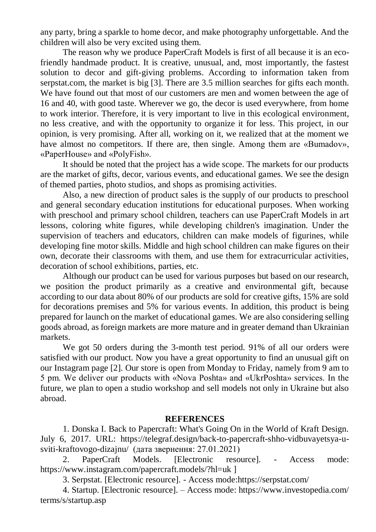any party, bring a sparkle to home decor, and make photography unforgettable. And the children will also be very excited using them.

The reason why we produce PaperCraft Models is first of all because it is an ecofriendly handmade product. It is creative, unusual, and, most importantly, the fastest solution to decor and gift-giving problems. According to information taken from serpstat.com, the market is big [3]. There are 3.5 million searches for gifts each month. We have found out that most of our customers are men and women between the age of 16 and 40, with good taste. Wherever we go, the decor is used everywhere, from home to work interior. Therefore, it is very important to live in this ecological environment, no less creative, and with the opportunity to organize it for less. This project, in our opinion, is very promising. After all, working on it, we realized that at the moment we have almost no competitors. If there are, then single. Among them are «Bumadov», «PaperHouse» and «PolyFish».

It should be noted that the project has a wide scope. The markets for our products are the market of gifts, decor, various events, and educational games. We see the design of themed parties, photo studios, and shops as promising activities.

Also, a new direction of product sales is the supply of our products to preschool and general secondary education institutions for educational purposes. When working with preschool and primary school children, teachers can use PaperCraft Models in art lessons, coloring white figures, while developing children's imagination. Under the supervision of teachers and educators, children can make models of figurines, while developing fine motor skills. Middle and high school children can make figures on their own, decorate their classrooms with them, and use them for extracurricular activities, decoration of school exhibitions, parties, etc.

Although our product can be used for various purposes but based on our research, we position the product primarily as a creative and environmental gift, because according to our data about 80% of our products are sold for creative gifts, 15% are sold for decorations premises and 5% for various events. In addition, this product is being prepared for launch on the market of educational games. We are also considering selling goods abroad, as foreign markets are more mature and in greater demand than Ukrainian markets.

We got 50 orders during the 3-month test period. 91% of all our orders were satisfied with our product. Now you have a great opportunity to find an unusual gift on our Instagram page [2]. Our store is open from Monday to Friday, namely from 9 am to 5 pm. We deliver our products with «Nova Poshta» and «UkrPoshta» services. In the future, we plan to open a studio workshop and sell models not only in Ukraine but also abroad.

## **REFERENCES**

1. Donska I. Back to Papercraft: What's Going On in the World of Kraft Design. July 6, 2017. URL: [https://telegraf.design/back-to-papercraft-shho-vidbuvayetsya-u](https://telegraf.design/back-to-papercraft-shho-vidbuvayetsya-u-sviti-kraftovogo-dizajnu/)[sviti-kraftovogo-dizajnu/](https://telegraf.design/back-to-papercraft-shho-vidbuvayetsya-u-sviti-kraftovogo-dizajnu/) (дата звернення: 27.01.2021)

2. PaperCraft Models. [Electronic resource]. - Access mode: [https://www.instagram.com/papercraft.models/?hl=uk \]](https://www.instagram.com/papercraft.models/?hl=uk%20%5d)

3. Serpstat. [Electronic resource]. - Access mode:https://serpstat.com/

4. Startup. [Electronic resource]. – Access mode: [https://www.investopedia.com/](https://www.investopedia.com/terms/s/startup.asp) [terms/s/startup.asp](https://www.investopedia.com/terms/s/startup.asp)